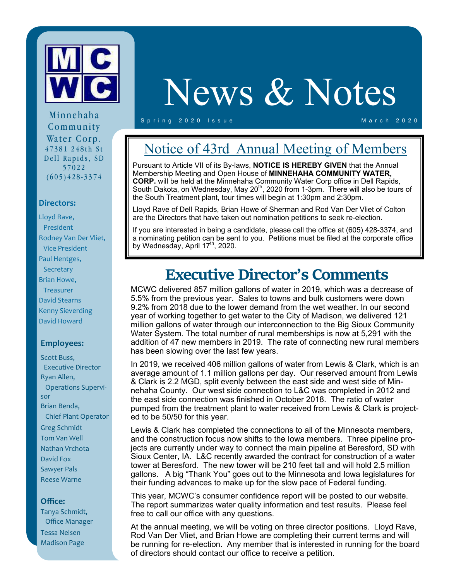

# News & Notes

Spring 2020 Issue March 2020

Minnehaha Community Water Corp. 47381 248th St Dell Rapids, SD 57022 (605)428-3374

#### **Directors:**

Lloyd Rave, President Rodney Van Der Vliet, Vice President Paul Hentges, **Secretary** Brian Howe, **Treasurer** David Stearns Kenny Sieverding David Howard

### **Employees:**

Scott Buss, Executive Director Ryan Allen, Operations Supervi‐ sor Brian Benda, Chief Plant Operator Greg Schmidt Tom Van Well Nathan Vrchota David Fox Sawyer Pals Reese Warne

#### **Office:**

Tanya Schmidt, Office Manager Tessa Nelsen Madison Page

### Notice of 43rd Annual Meeting of Members

Pursuant to Article VII of its By-laws, **NOTICE IS HEREBY GIVEN** that the Annual Membership Meeting and Open House of **MINNEHAHA COMMUNITY WATER, CORP.** will be held at the Minnehaha Community Water Corp office in Dell Rapids, South Dakota, on Wednesday, May 20<sup>th</sup>, 2020 from 1-3pm. There will also be tours of the South Treatment plant, tour times will begin at 1:30pm and 2:30pm.

Lloyd Rave of Dell Rapids, Brian Howe of Sherman and Rod Van Der Vliet of Colton are the Directors that have taken out nomination petitions to seek re-election.

If you are interested in being a candidate, please call the office at (605) 428-3374, and a nominating petition can be sent to you. Petitions must be filed at the corporate office by Wednesday, April  $17<sup>th</sup>$ , 2020.

### **Executive Director's Comments**

MCWC delivered 857 million gallons of water in 2019, which was a decrease of 5.5% from the previous year. Sales to towns and bulk customers were down 9.2% from 2018 due to the lower demand from the wet weather. In our second year of working together to get water to the City of Madison, we delivered 121 million gallons of water through our interconnection to the Big Sioux Community Water System. The total number of rural memberships is now at 5,291 with the addition of 47 new members in 2019. The rate of connecting new rural members has been slowing over the last few years.

In 2019, we received 406 million gallons of water from Lewis & Clark, which is an average amount of 1.1 million gallons per day. Our reserved amount from Lewis & Clark is 2.2 MGD, split evenly between the east side and west side of Minnehaha County. Our west side connection to L&C was completed in 2012 and the east side connection was finished in October 2018. The ratio of water pumped from the treatment plant to water received from Lewis & Clark is projected to be 50/50 for this year.

Lewis & Clark has completed the connections to all of the Minnesota members, and the construction focus now shifts to the Iowa members. Three pipeline projects are currently under way to connect the main pipeline at Beresford, SD with Sioux Center, IA. L&C recently awarded the contract for construction of a water tower at Beresford. The new tower will be 210 feet tall and will hold 2.5 million gallons. A big "Thank You" goes out to the Minnesota and Iowa legislatures for their funding advances to make up for the slow pace of Federal funding.

This year, MCWC's consumer confidence report will be posted to our website. The report summarizes water quality information and test results. Please feel free to call our office with any questions.

At the annual meeting, we will be voting on three director positions. Lloyd Rave, Rod Van Der Vliet, and Brian Howe are completing their current terms and will be running for re-election. Any member that is interested in running for the board of directors should contact our office to receive a petition.